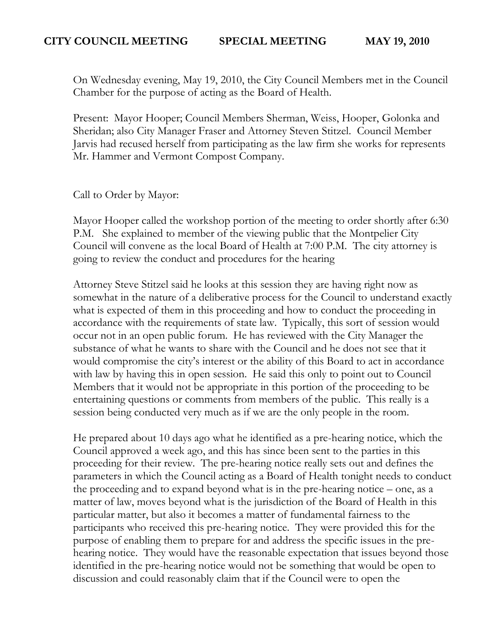On Wednesday evening, May 19, 2010, the City Council Members met in the Council Chamber for the purpose of acting as the Board of Health.

Present: Mayor Hooper; Council Members Sherman, Weiss, Hooper, Golonka and Sheridan; also City Manager Fraser and Attorney Steven Stitzel. Council Member Jarvis had recused herself from participating as the law firm she works for represents Mr. Hammer and Vermont Compost Company.

Call to Order by Mayor:

Mayor Hooper called the workshop portion of the meeting to order shortly after 6:30 P.M. She explained to member of the viewing public that the Montpelier City Council will convene as the local Board of Health at 7:00 P.M. The city attorney is going to review the conduct and procedures for the hearing

Attorney Steve Stitzel said he looks at this session they are having right now as somewhat in the nature of a deliberative process for the Council to understand exactly what is expected of them in this proceeding and how to conduct the proceeding in accordance with the requirements of state law. Typically, this sort of session would occur not in an open public forum. He has reviewed with the City Manager the substance of what he wants to share with the Council and he does not see that it would compromise the city's interest or the ability of this Board to act in accordance with law by having this in open session. He said this only to point out to Council Members that it would not be appropriate in this portion of the proceeding to be entertaining questions or comments from members of the public. This really is a session being conducted very much as if we are the only people in the room.

He prepared about 10 days ago what he identified as a pre-hearing notice, which the Council approved a week ago, and this has since been sent to the parties in this proceeding for their review. The pre-hearing notice really sets out and defines the parameters in which the Council acting as a Board of Health tonight needs to conduct the proceeding and to expand beyond what is in the pre-hearing notice – one, as a matter of law, moves beyond what is the jurisdiction of the Board of Health in this particular matter, but also it becomes a matter of fundamental fairness to the participants who received this pre-hearing notice. They were provided this for the purpose of enabling them to prepare for and address the specific issues in the prehearing notice. They would have the reasonable expectation that issues beyond those identified in the pre-hearing notice would not be something that would be open to discussion and could reasonably claim that if the Council were to open the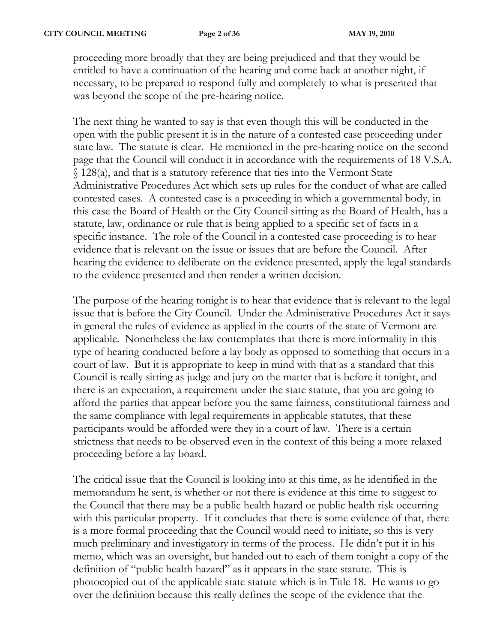proceeding more broadly that they are being prejudiced and that they would be entitled to have a continuation of the hearing and come back at another night, if necessary, to be prepared to respond fully and completely to what is presented that was beyond the scope of the pre-hearing notice.

The next thing he wanted to say is that even though this will be conducted in the open with the public present it is in the nature of a contested case proceeding under state law. The statute is clear. He mentioned in the pre-hearing notice on the second page that the Council will conduct it in accordance with the requirements of 18 V.S.A. § 128(a), and that is a statutory reference that ties into the Vermont State Administrative Procedures Act which sets up rules for the conduct of what are called contested cases. A contested case is a proceeding in which a governmental body, in this case the Board of Health or the City Council sitting as the Board of Health, has a statute, law, ordinance or rule that is being applied to a specific set of facts in a specific instance. The role of the Council in a contested case proceeding is to hear evidence that is relevant on the issue or issues that are before the Council. After hearing the evidence to deliberate on the evidence presented, apply the legal standards to the evidence presented and then render a written decision.

The purpose of the hearing tonight is to hear that evidence that is relevant to the legal issue that is before the City Council. Under the Administrative Procedures Act it says in general the rules of evidence as applied in the courts of the state of Vermont are applicable. Nonetheless the law contemplates that there is more informality in this type of hearing conducted before a lay body as opposed to something that occurs in a court of law. But it is appropriate to keep in mind with that as a standard that this Council is really sitting as judge and jury on the matter that is before it tonight, and there is an expectation, a requirement under the state statute, that you are going to afford the parties that appear before you the same fairness, constitutional fairness and the same compliance with legal requirements in applicable statutes, that these participants would be afforded were they in a court of law. There is a certain strictness that needs to be observed even in the context of this being a more relaxed proceeding before a lay board.

The critical issue that the Council is looking into at this time, as he identified in the memorandum he sent, is whether or not there is evidence at this time to suggest to the Council that there may be a public health hazard or public health risk occurring with this particular property. If it concludes that there is some evidence of that, there is a more formal proceeding that the Council would need to initiate, so this is very much preliminary and investigatory in terms of the process. He didn't put it in his memo, which was an oversight, but handed out to each of them tonight a copy of the definition of "public health hazard" as it appears in the state statute. This is photocopied out of the applicable state statute which is in Title 18. He wants to go over the definition because this really defines the scope of the evidence that the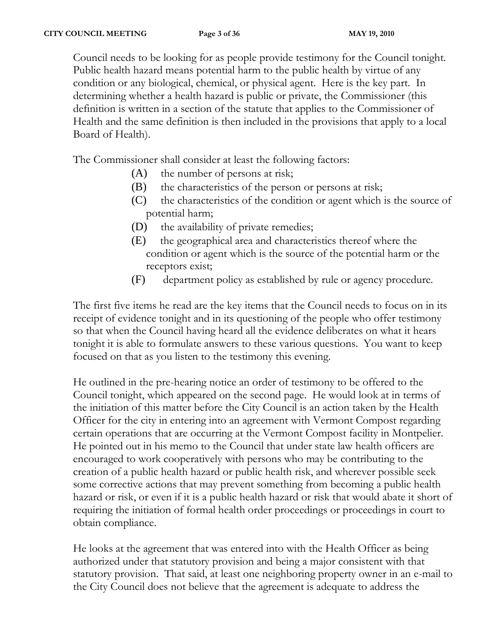Council needs to be looking for as people provide testimony for the Council tonight. Public health hazard means potential harm to the public health by virtue of any condition or any biological, chemical, or physical agent. Here is the key part. In determining whether a health hazard is public or private, the Commissioner (this definition is written in a section of the statute that applies to the Commissioner of Health and the same definition is then included in the provisions that apply to a local Board of Health).

The Commissioner shall consider at least the following factors:

- (A) the number of persons at risk;
- (B) the characteristics of the person or persons at risk;
- (C) the characteristics of the condition or agent which is the source of potential harm;
- (D) the availability of private remedies;
- (E) the geographical area and characteristics thereof where the condition or agent which is the source of the potential harm or the receptors exist;
- (F) department policy as established by rule or agency procedure.

The first five items he read are the key items that the Council needs to focus on in its receipt of evidence tonight and in its questioning of the people who offer testimony so that when the Council having heard all the evidence deliberates on what it hears tonight it is able to formulate answers to these various questions. You want to keep focused on that as you listen to the testimony this evening.

He outlined in the pre-hearing notice an order of testimony to be offered to the Council tonight, which appeared on the second page. He would look at in terms of the initiation of this matter before the City Council is an action taken by the Health Officer for the city in entering into an agreement with Vermont Compost regarding certain operations that are occurring at the Vermont Compost facility in Montpelier. He pointed out in his memo to the Council that under state law health officers are encouraged to work cooperatively with persons who may be contributing to the creation of a public health hazard or public health risk, and wherever possible seek some corrective actions that may prevent something from becoming a public health hazard or risk, or even if it is a public health hazard or risk that would abate it short of requiring the initiation of formal health order proceedings or proceedings in court to obtain compliance.

He looks at the agreement that was entered into with the Health Officer as being authorized under that statutory provision and being a major consistent with that statutory provision. That said, at least one neighboring property owner in an e-mail to the City Council does not believe that the agreement is adequate to address the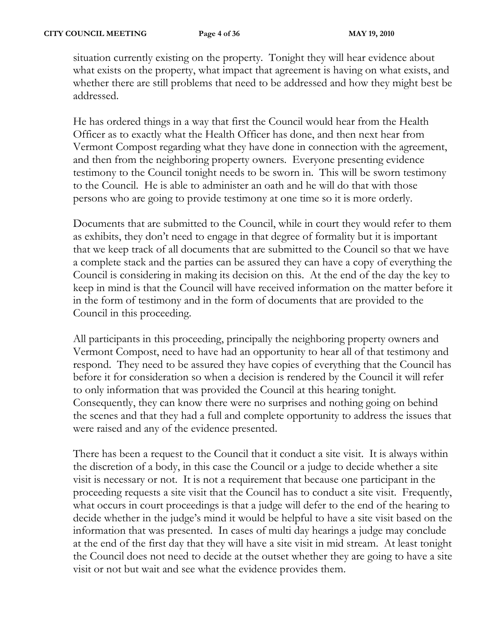situation currently existing on the property. Tonight they will hear evidence about what exists on the property, what impact that agreement is having on what exists, and whether there are still problems that need to be addressed and how they might best be addressed.

He has ordered things in a way that first the Council would hear from the Health Officer as to exactly what the Health Officer has done, and then next hear from Vermont Compost regarding what they have done in connection with the agreement, and then from the neighboring property owners. Everyone presenting evidence testimony to the Council tonight needs to be sworn in. This will be sworn testimony to the Council. He is able to administer an oath and he will do that with those persons who are going to provide testimony at one time so it is more orderly.

Documents that are submitted to the Council, while in court they would refer to them as exhibits, they don't need to engage in that degree of formality but it is important that we keep track of all documents that are submitted to the Council so that we have a complete stack and the parties can be assured they can have a copy of everything the Council is considering in making its decision on this. At the end of the day the key to keep in mind is that the Council will have received information on the matter before it in the form of testimony and in the form of documents that are provided to the Council in this proceeding.

All participants in this proceeding, principally the neighboring property owners and Vermont Compost, need to have had an opportunity to hear all of that testimony and respond. They need to be assured they have copies of everything that the Council has before it for consideration so when a decision is rendered by the Council it will refer to only information that was provided the Council at this hearing tonight. Consequently, they can know there were no surprises and nothing going on behind the scenes and that they had a full and complete opportunity to address the issues that were raised and any of the evidence presented.

There has been a request to the Council that it conduct a site visit. It is always within the discretion of a body, in this case the Council or a judge to decide whether a site visit is necessary or not. It is not a requirement that because one participant in the proceeding requests a site visit that the Council has to conduct a site visit. Frequently, what occurs in court proceedings is that a judge will defer to the end of the hearing to decide whether in the judge's mind it would be helpful to have a site visit based on the information that was presented. In cases of multi day hearings a judge may conclude at the end of the first day that they will have a site visit in mid stream. At least tonight the Council does not need to decide at the outset whether they are going to have a site visit or not but wait and see what the evidence provides them.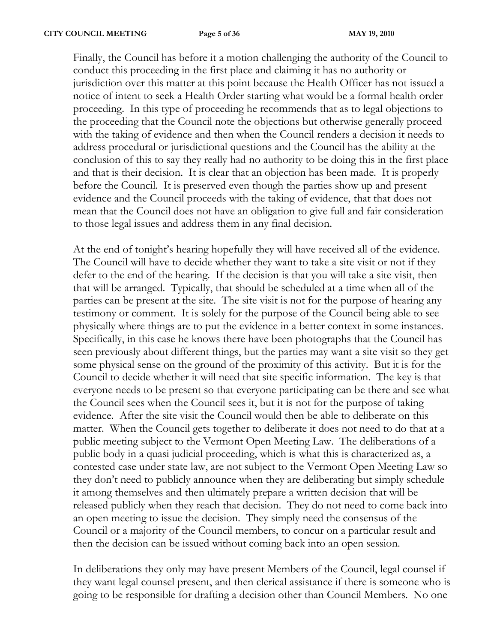Finally, the Council has before it a motion challenging the authority of the Council to conduct this proceeding in the first place and claiming it has no authority or jurisdiction over this matter at this point because the Health Officer has not issued a notice of intent to seek a Health Order starting what would be a formal health order proceeding. In this type of proceeding he recommends that as to legal objections to the proceeding that the Council note the objections but otherwise generally proceed with the taking of evidence and then when the Council renders a decision it needs to address procedural or jurisdictional questions and the Council has the ability at the conclusion of this to say they really had no authority to be doing this in the first place and that is their decision. It is clear that an objection has been made. It is properly before the Council. It is preserved even though the parties show up and present evidence and the Council proceeds with the taking of evidence, that that does not mean that the Council does not have an obligation to give full and fair consideration to those legal issues and address them in any final decision.

At the end of tonight's hearing hopefully they will have received all of the evidence. The Council will have to decide whether they want to take a site visit or not if they defer to the end of the hearing. If the decision is that you will take a site visit, then that will be arranged. Typically, that should be scheduled at a time when all of the parties can be present at the site. The site visit is not for the purpose of hearing any testimony or comment. It is solely for the purpose of the Council being able to see physically where things are to put the evidence in a better context in some instances. Specifically, in this case he knows there have been photographs that the Council has seen previously about different things, but the parties may want a site visit so they get some physical sense on the ground of the proximity of this activity. But it is for the Council to decide whether it will need that site specific information. The key is that everyone needs to be present so that everyone participating can be there and see what the Council sees when the Council sees it, but it is not for the purpose of taking evidence. After the site visit the Council would then be able to deliberate on this matter. When the Council gets together to deliberate it does not need to do that at a public meeting subject to the Vermont Open Meeting Law. The deliberations of a public body in a quasi judicial proceeding, which is what this is characterized as, a contested case under state law, are not subject to the Vermont Open Meeting Law so they don't need to publicly announce when they are deliberating but simply schedule it among themselves and then ultimately prepare a written decision that will be released publicly when they reach that decision. They do not need to come back into an open meeting to issue the decision. They simply need the consensus of the Council or a majority of the Council members, to concur on a particular result and then the decision can be issued without coming back into an open session.

In deliberations they only may have present Members of the Council, legal counsel if they want legal counsel present, and then clerical assistance if there is someone who is going to be responsible for drafting a decision other than Council Members. No one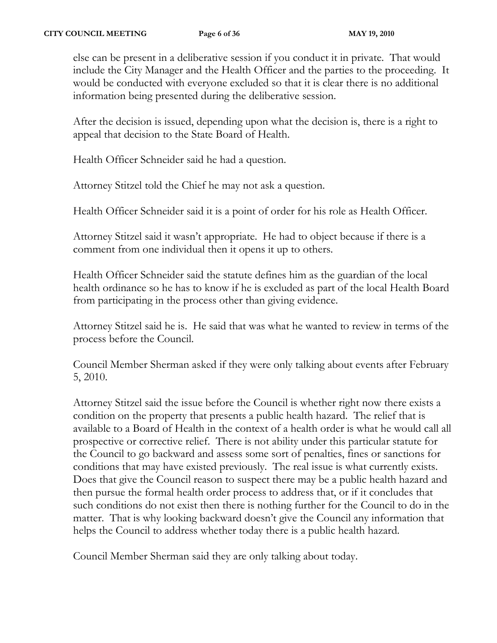else can be present in a deliberative session if you conduct it in private. That would include the City Manager and the Health Officer and the parties to the proceeding. It would be conducted with everyone excluded so that it is clear there is no additional information being presented during the deliberative session.

After the decision is issued, depending upon what the decision is, there is a right to appeal that decision to the State Board of Health.

Health Officer Schneider said he had a question.

Attorney Stitzel told the Chief he may not ask a question.

Health Officer Schneider said it is a point of order for his role as Health Officer.

Attorney Stitzel said it wasn't appropriate. He had to object because if there is a comment from one individual then it opens it up to others.

Health Officer Schneider said the statute defines him as the guardian of the local health ordinance so he has to know if he is excluded as part of the local Health Board from participating in the process other than giving evidence.

Attorney Stitzel said he is. He said that was what he wanted to review in terms of the process before the Council.

Council Member Sherman asked if they were only talking about events after February 5, 2010.

Attorney Stitzel said the issue before the Council is whether right now there exists a condition on the property that presents a public health hazard. The relief that is available to a Board of Health in the context of a health order is what he would call all prospective or corrective relief. There is not ability under this particular statute for the Council to go backward and assess some sort of penalties, fines or sanctions for conditions that may have existed previously. The real issue is what currently exists. Does that give the Council reason to suspect there may be a public health hazard and then pursue the formal health order process to address that, or if it concludes that such conditions do not exist then there is nothing further for the Council to do in the matter. That is why looking backward doesn't give the Council any information that helps the Council to address whether today there is a public health hazard.

Council Member Sherman said they are only talking about today.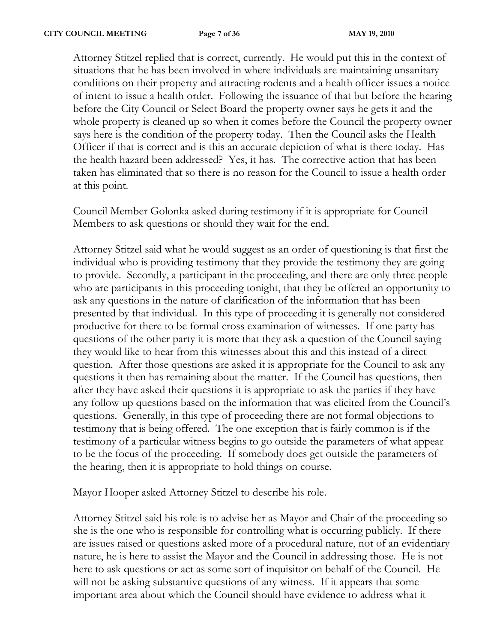Attorney Stitzel replied that is correct, currently. He would put this in the context of situations that he has been involved in where individuals are maintaining unsanitary conditions on their property and attracting rodents and a health officer issues a notice of intent to issue a health order. Following the issuance of that but before the hearing before the City Council or Select Board the property owner says he gets it and the whole property is cleaned up so when it comes before the Council the property owner says here is the condition of the property today. Then the Council asks the Health Officer if that is correct and is this an accurate depiction of what is there today. Has the health hazard been addressed? Yes, it has. The corrective action that has been taken has eliminated that so there is no reason for the Council to issue a health order at this point.

Council Member Golonka asked during testimony if it is appropriate for Council Members to ask questions or should they wait for the end.

Attorney Stitzel said what he would suggest as an order of questioning is that first the individual who is providing testimony that they provide the testimony they are going to provide. Secondly, a participant in the proceeding, and there are only three people who are participants in this proceeding tonight, that they be offered an opportunity to ask any questions in the nature of clarification of the information that has been presented by that individual. In this type of proceeding it is generally not considered productive for there to be formal cross examination of witnesses. If one party has questions of the other party it is more that they ask a question of the Council saying they would like to hear from this witnesses about this and this instead of a direct question. After those questions are asked it is appropriate for the Council to ask any questions it then has remaining about the matter. If the Council has questions, then after they have asked their questions it is appropriate to ask the parties if they have any follow up questions based on the information that was elicited from the Council's questions. Generally, in this type of proceeding there are not formal objections to testimony that is being offered. The one exception that is fairly common is if the testimony of a particular witness begins to go outside the parameters of what appear to be the focus of the proceeding. If somebody does get outside the parameters of the hearing, then it is appropriate to hold things on course.

Mayor Hooper asked Attorney Stitzel to describe his role.

Attorney Stitzel said his role is to advise her as Mayor and Chair of the proceeding so she is the one who is responsible for controlling what is occurring publicly. If there are issues raised or questions asked more of a procedural nature, not of an evidentiary nature, he is here to assist the Mayor and the Council in addressing those. He is not here to ask questions or act as some sort of inquisitor on behalf of the Council. He will not be asking substantive questions of any witness. If it appears that some important area about which the Council should have evidence to address what it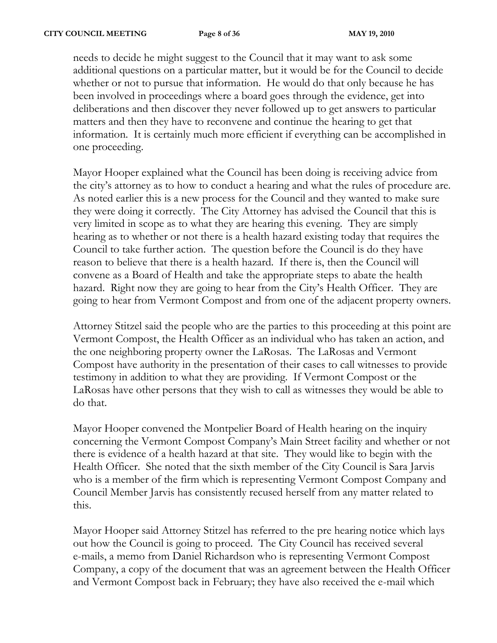needs to decide he might suggest to the Council that it may want to ask some additional questions on a particular matter, but it would be for the Council to decide whether or not to pursue that information. He would do that only because he has been involved in proceedings where a board goes through the evidence, get into deliberations and then discover they never followed up to get answers to particular matters and then they have to reconvene and continue the hearing to get that information. It is certainly much more efficient if everything can be accomplished in one proceeding.

Mayor Hooper explained what the Council has been doing is receiving advice from the city's attorney as to how to conduct a hearing and what the rules of procedure are. As noted earlier this is a new process for the Council and they wanted to make sure they were doing it correctly. The City Attorney has advised the Council that this is very limited in scope as to what they are hearing this evening. They are simply hearing as to whether or not there is a health hazard existing today that requires the Council to take further action. The question before the Council is do they have reason to believe that there is a health hazard. If there is, then the Council will convene as a Board of Health and take the appropriate steps to abate the health hazard. Right now they are going to hear from the City's Health Officer. They are going to hear from Vermont Compost and from one of the adjacent property owners.

Attorney Stitzel said the people who are the parties to this proceeding at this point are Vermont Compost, the Health Officer as an individual who has taken an action, and the one neighboring property owner the LaRosas. The LaRosas and Vermont Compost have authority in the presentation of their cases to call witnesses to provide testimony in addition to what they are providing. If Vermont Compost or the LaRosas have other persons that they wish to call as witnesses they would be able to do that.

Mayor Hooper convened the Montpelier Board of Health hearing on the inquiry concerning the Vermont Compost Company's Main Street facility and whether or not there is evidence of a health hazard at that site. They would like to begin with the Health Officer. She noted that the sixth member of the City Council is Sara Jarvis who is a member of the firm which is representing Vermont Compost Company and Council Member Jarvis has consistently recused herself from any matter related to this.

Mayor Hooper said Attorney Stitzel has referred to the pre hearing notice which lays out how the Council is going to proceed. The City Council has received several e-mails, a memo from Daniel Richardson who is representing Vermont Compost Company, a copy of the document that was an agreement between the Health Officer and Vermont Compost back in February; they have also received the e-mail which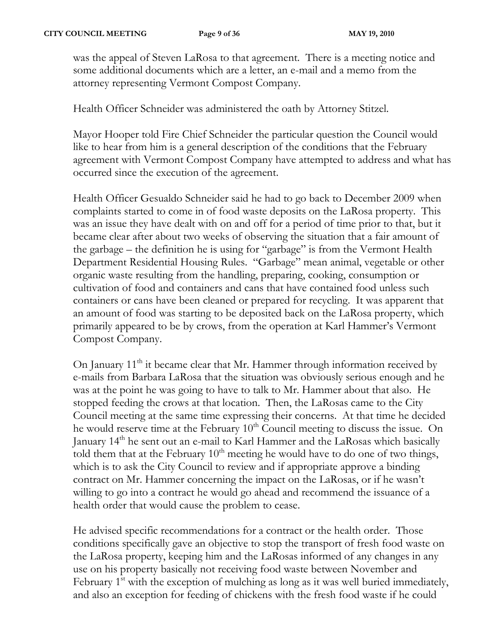was the appeal of Steven LaRosa to that agreement. There is a meeting notice and some additional documents which are a letter, an e-mail and a memo from the attorney representing Vermont Compost Company.

Health Officer Schneider was administered the oath by Attorney Stitzel.

Mayor Hooper told Fire Chief Schneider the particular question the Council would like to hear from him is a general description of the conditions that the February agreement with Vermont Compost Company have attempted to address and what has occurred since the execution of the agreement.

Health Officer Gesualdo Schneider said he had to go back to December 2009 when complaints started to come in of food waste deposits on the LaRosa property. This was an issue they have dealt with on and off for a period of time prior to that, but it became clear after about two weeks of observing the situation that a fair amount of the garbage – the definition he is using for "garbage" is from the Vermont Health Department Residential Housing Rules. "Garbage" mean animal, vegetable or other organic waste resulting from the handling, preparing, cooking, consumption or cultivation of food and containers and cans that have contained food unless such containers or cans have been cleaned or prepared for recycling. It was apparent that an amount of food was starting to be deposited back on the LaRosa property, which primarily appeared to be by crows, from the operation at Karl Hammer's Vermont Compost Company.

On January  $11<sup>th</sup>$  it became clear that Mr. Hammer through information received by e-mails from Barbara LaRosa that the situation was obviously serious enough and he was at the point he was going to have to talk to Mr. Hammer about that also. He stopped feeding the crows at that location. Then, the LaRosas came to the City Council meeting at the same time expressing their concerns. At that time he decided he would reserve time at the February  $10<sup>th</sup>$  Council meeting to discuss the issue. On January  $14<sup>th</sup>$  he sent out an e-mail to Karl Hammer and the LaRosas which basically told them that at the February  $10<sup>th</sup>$  meeting he would have to do one of two things, which is to ask the City Council to review and if appropriate approve a binding contract on Mr. Hammer concerning the impact on the LaRosas, or if he wasn't willing to go into a contract he would go ahead and recommend the issuance of a health order that would cause the problem to cease.

He advised specific recommendations for a contract or the health order. Those conditions specifically gave an objective to stop the transport of fresh food waste on the LaRosa property, keeping him and the LaRosas informed of any changes in any use on his property basically not receiving food waste between November and February  $1<sup>st</sup>$  with the exception of mulching as long as it was well buried immediately, and also an exception for feeding of chickens with the fresh food waste if he could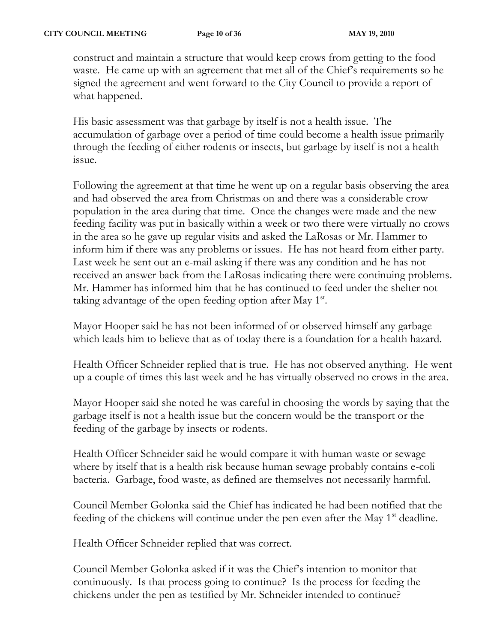construct and maintain a structure that would keep crows from getting to the food waste. He came up with an agreement that met all of the Chief's requirements so he signed the agreement and went forward to the City Council to provide a report of what happened.

His basic assessment was that garbage by itself is not a health issue. The accumulation of garbage over a period of time could become a health issue primarily through the feeding of either rodents or insects, but garbage by itself is not a health issue.

Following the agreement at that time he went up on a regular basis observing the area and had observed the area from Christmas on and there was a considerable crow population in the area during that time. Once the changes were made and the new feeding facility was put in basically within a week or two there were virtually no crows in the area so he gave up regular visits and asked the LaRosas or Mr. Hammer to inform him if there was any problems or issues. He has not heard from either party. Last week he sent out an e-mail asking if there was any condition and he has not received an answer back from the LaRosas indicating there were continuing problems. Mr. Hammer has informed him that he has continued to feed under the shelter not taking advantage of the open feeding option after May  $1<sup>st</sup>$ .

Mayor Hooper said he has not been informed of or observed himself any garbage which leads him to believe that as of today there is a foundation for a health hazard.

Health Officer Schneider replied that is true. He has not observed anything. He went up a couple of times this last week and he has virtually observed no crows in the area.

Mayor Hooper said she noted he was careful in choosing the words by saying that the garbage itself is not a health issue but the concern would be the transport or the feeding of the garbage by insects or rodents.

Health Officer Schneider said he would compare it with human waste or sewage where by itself that is a health risk because human sewage probably contains e-coli bacteria. Garbage, food waste, as defined are themselves not necessarily harmful.

Council Member Golonka said the Chief has indicated he had been notified that the feeding of the chickens will continue under the pen even after the May  $1<sup>st</sup>$  deadline.

Health Officer Schneider replied that was correct.

Council Member Golonka asked if it was the Chief's intention to monitor that continuously. Is that process going to continue? Is the process for feeding the chickens under the pen as testified by Mr. Schneider intended to continue?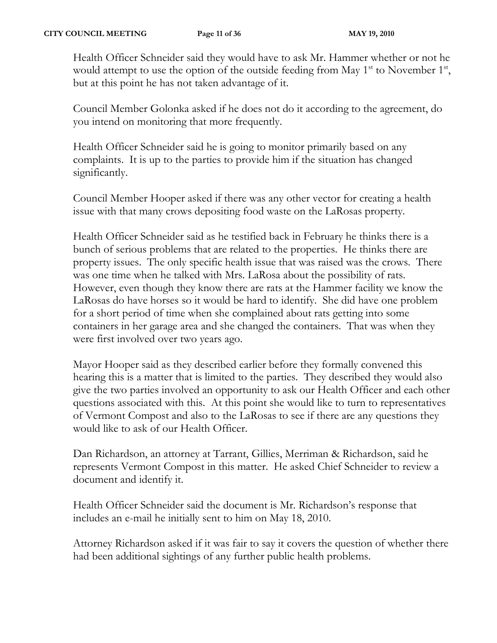Health Officer Schneider said they would have to ask Mr. Hammer whether or not he would attempt to use the option of the outside feeding from May  $1<sup>st</sup>$  to November  $1<sup>st</sup>$ , but at this point he has not taken advantage of it.

Council Member Golonka asked if he does not do it according to the agreement, do you intend on monitoring that more frequently.

Health Officer Schneider said he is going to monitor primarily based on any complaints. It is up to the parties to provide him if the situation has changed significantly.

Council Member Hooper asked if there was any other vector for creating a health issue with that many crows depositing food waste on the LaRosas property.

Health Officer Schneider said as he testified back in February he thinks there is a bunch of serious problems that are related to the properties. He thinks there are property issues. The only specific health issue that was raised was the crows. There was one time when he talked with Mrs. LaRosa about the possibility of rats. However, even though they know there are rats at the Hammer facility we know the LaRosas do have horses so it would be hard to identify. She did have one problem for a short period of time when she complained about rats getting into some containers in her garage area and she changed the containers. That was when they were first involved over two years ago.

Mayor Hooper said as they described earlier before they formally convened this hearing this is a matter that is limited to the parties. They described they would also give the two parties involved an opportunity to ask our Health Officer and each other questions associated with this. At this point she would like to turn to representatives of Vermont Compost and also to the LaRosas to see if there are any questions they would like to ask of our Health Officer.

Dan Richardson, an attorney at Tarrant, Gillies, Merriman & Richardson, said he represents Vermont Compost in this matter. He asked Chief Schneider to review a document and identify it.

Health Officer Schneider said the document is Mr. Richardson's response that includes an e-mail he initially sent to him on May 18, 2010.

Attorney Richardson asked if it was fair to say it covers the question of whether there had been additional sightings of any further public health problems.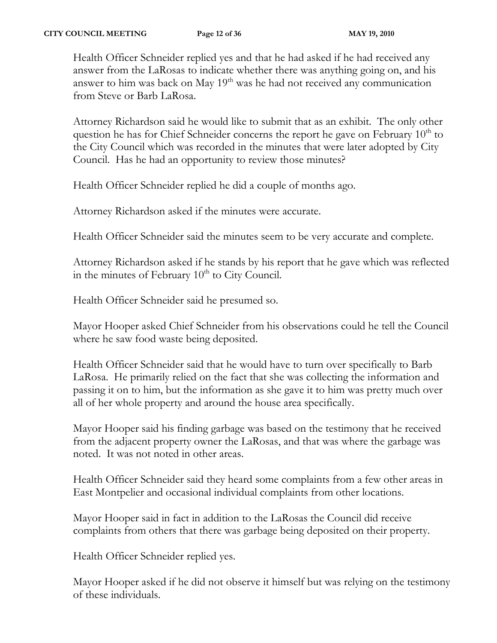Health Officer Schneider replied yes and that he had asked if he had received any answer from the LaRosas to indicate whether there was anything going on, and his answer to him was back on May  $19<sup>th</sup>$  was he had not received any communication from Steve or Barb LaRosa.

Attorney Richardson said he would like to submit that as an exhibit. The only other question he has for Chief Schneider concerns the report he gave on February  $10<sup>th</sup>$  to the City Council which was recorded in the minutes that were later adopted by City Council. Has he had an opportunity to review those minutes?

Health Officer Schneider replied he did a couple of months ago.

Attorney Richardson asked if the minutes were accurate.

Health Officer Schneider said the minutes seem to be very accurate and complete.

Attorney Richardson asked if he stands by his report that he gave which was reflected in the minutes of February  $10<sup>th</sup>$  to City Council.

Health Officer Schneider said he presumed so.

Mayor Hooper asked Chief Schneider from his observations could he tell the Council where he saw food waste being deposited.

Health Officer Schneider said that he would have to turn over specifically to Barb LaRosa. He primarily relied on the fact that she was collecting the information and passing it on to him, but the information as she gave it to him was pretty much over all of her whole property and around the house area specifically.

Mayor Hooper said his finding garbage was based on the testimony that he received from the adjacent property owner the LaRosas, and that was where the garbage was noted. It was not noted in other areas.

Health Officer Schneider said they heard some complaints from a few other areas in East Montpelier and occasional individual complaints from other locations.

Mayor Hooper said in fact in addition to the LaRosas the Council did receive complaints from others that there was garbage being deposited on their property.

Health Officer Schneider replied yes.

Mayor Hooper asked if he did not observe it himself but was relying on the testimony of these individuals.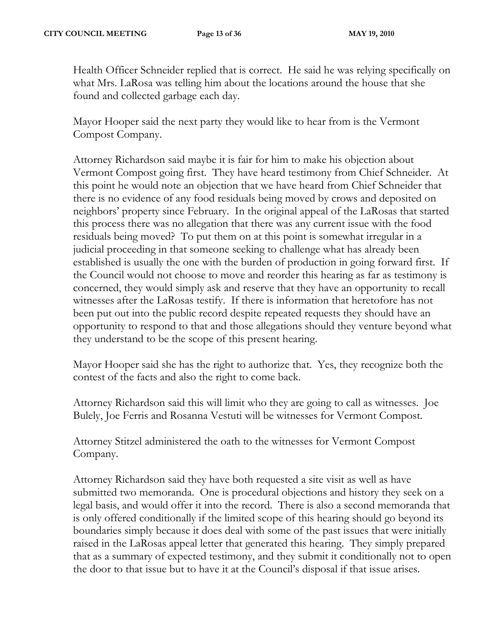Health Officer Schneider replied that is correct. He said he was relying specifically on what Mrs. LaRosa was telling him about the locations around the house that she found and collected garbage each day.

Mayor Hooper said the next party they would like to hear from is the Vermont Compost Company.

Attorney Richardson said maybe it is fair for him to make his objection about Vermont Compost going first. They have heard testimony from Chief Schneider. At this point he would note an objection that we have heard from Chief Schneider that there is no evidence of any food residuals being moved by crows and deposited on neighbors' property since February. In the original appeal of the LaRosas that started this process there was no allegation that there was any current issue with the food residuals being moved? To put them on at this point is somewhat irregular in a judicial proceeding in that someone seeking to challenge what has already been established is usually the one with the burden of production in going forward first. If the Council would not choose to move and reorder this hearing as far as testimony is concerned, they would simply ask and reserve that they have an opportunity to recall witnesses after the LaRosas testify. If there is information that heretofore has not been put out into the public record despite repeated requests they should have an opportunity to respond to that and those allegations should they venture beyond what they understand to be the scope of this present hearing.

Mayor Hooper said she has the right to authorize that. Yes, they recognize both the contest of the facts and also the right to come back.

Attorney Richardson said this will limit who they are going to call as witnesses. Joe Bulely, Joe Ferris and Rosanna Vestuti will be witnesses for Vermont Compost.

Attorney Stitzel administered the oath to the witnesses for Vermont Compost Company.

Attorney Richardson said they have both requested a site visit as well as have submitted two memoranda. One is procedural objections and history they seek on a legal basis, and would offer it into the record. There is also a second memoranda that is only offered conditionally if the limited scope of this hearing should go beyond its boundaries simply because it does deal with some of the past issues that were initially raised in the LaRosas appeal letter that generated this hearing. They simply prepared that as a summary of expected testimony, and they submit it conditionally not to open the door to that issue but to have it at the Council's disposal if that issue arises.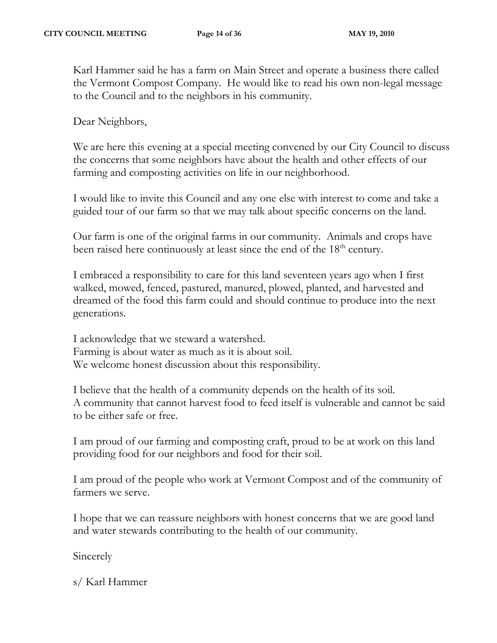Karl Hammer said he has a farm on Main Street and operate a business there called the Vermont Compost Company. He would like to read his own non-legal message to the Council and to the neighbors in his community.

Dear Neighbors,

We are here this evening at a special meeting convened by our City Council to discuss the concerns that some neighbors have about the health and other effects of our farming and composting activities on life in our neighborhood.

I would like to invite this Council and any one else with interest to come and take a guided tour of our farm so that we may talk about specific concerns on the land.

Our farm is one of the original farms in our community. Animals and crops have been raised here continuously at least since the end of the 18<sup>th</sup> century.

I embraced a responsibility to care for this land seventeen years ago when I first walked, mowed, fenced, pastured, manured, plowed, planted, and harvested and dreamed of the food this farm could and should continue to produce into the next generations.

I acknowledge that we steward a watershed. Farming is about water as much as it is about soil. We welcome honest discussion about this responsibility.

I believe that the health of a community depends on the health of its soil. A community that cannot harvest food to feed itself is vulnerable and cannot be said to be either safe or free.

I am proud of our farming and composting craft, proud to be at work on this land providing food for our neighbors and food for their soil.

I am proud of the people who work at Vermont Compost and of the community of farmers we serve.

I hope that we can reassure neighbors with honest concerns that we are good land and water stewards contributing to the health of our community.

Sincerely

s/ Karl Hammer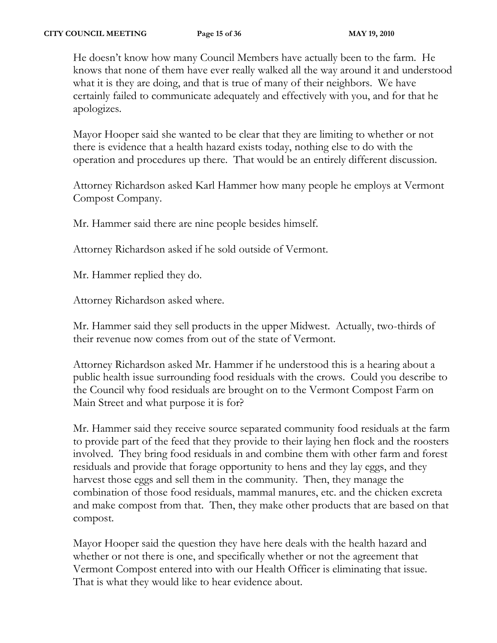He doesn't know how many Council Members have actually been to the farm. He knows that none of them have ever really walked all the way around it and understood what it is they are doing, and that is true of many of their neighbors. We have certainly failed to communicate adequately and effectively with you, and for that he apologizes.

Mayor Hooper said she wanted to be clear that they are limiting to whether or not there is evidence that a health hazard exists today, nothing else to do with the operation and procedures up there. That would be an entirely different discussion.

Attorney Richardson asked Karl Hammer how many people he employs at Vermont Compost Company.

Mr. Hammer said there are nine people besides himself.

Attorney Richardson asked if he sold outside of Vermont.

Mr. Hammer replied they do.

Attorney Richardson asked where.

Mr. Hammer said they sell products in the upper Midwest. Actually, two-thirds of their revenue now comes from out of the state of Vermont.

Attorney Richardson asked Mr. Hammer if he understood this is a hearing about a public health issue surrounding food residuals with the crows. Could you describe to the Council why food residuals are brought on to the Vermont Compost Farm on Main Street and what purpose it is for?

Mr. Hammer said they receive source separated community food residuals at the farm to provide part of the feed that they provide to their laying hen flock and the roosters involved. They bring food residuals in and combine them with other farm and forest residuals and provide that forage opportunity to hens and they lay eggs, and they harvest those eggs and sell them in the community. Then, they manage the combination of those food residuals, mammal manures, etc. and the chicken excreta and make compost from that. Then, they make other products that are based on that compost.

Mayor Hooper said the question they have here deals with the health hazard and whether or not there is one, and specifically whether or not the agreement that Vermont Compost entered into with our Health Officer is eliminating that issue. That is what they would like to hear evidence about.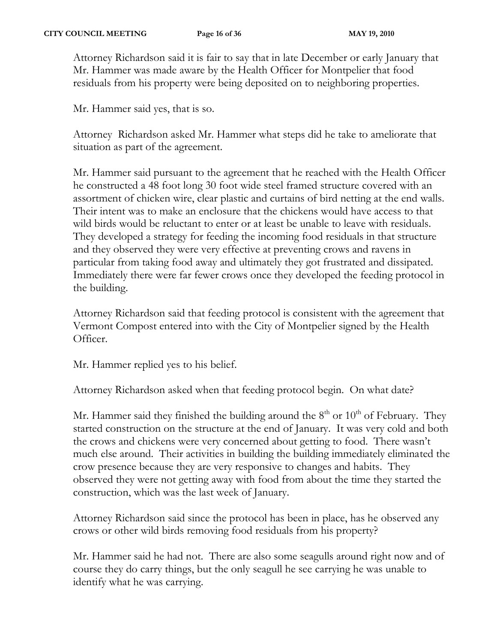Attorney Richardson said it is fair to say that in late December or early January that Mr. Hammer was made aware by the Health Officer for Montpelier that food residuals from his property were being deposited on to neighboring properties.

Mr. Hammer said yes, that is so.

Attorney Richardson asked Mr. Hammer what steps did he take to ameliorate that situation as part of the agreement.

Mr. Hammer said pursuant to the agreement that he reached with the Health Officer he constructed a 48 foot long 30 foot wide steel framed structure covered with an assortment of chicken wire, clear plastic and curtains of bird netting at the end walls. Their intent was to make an enclosure that the chickens would have access to that wild birds would be reluctant to enter or at least be unable to leave with residuals. They developed a strategy for feeding the incoming food residuals in that structure and they observed they were very effective at preventing crows and ravens in particular from taking food away and ultimately they got frustrated and dissipated. Immediately there were far fewer crows once they developed the feeding protocol in the building.

Attorney Richardson said that feeding protocol is consistent with the agreement that Vermont Compost entered into with the City of Montpelier signed by the Health Officer.

Mr. Hammer replied yes to his belief.

Attorney Richardson asked when that feeding protocol begin. On what date?

Mr. Hammer said they finished the building around the  $8<sup>th</sup>$  or  $10<sup>th</sup>$  of February. They started construction on the structure at the end of January. It was very cold and both the crows and chickens were very concerned about getting to food. There wasn't much else around. Their activities in building the building immediately eliminated the crow presence because they are very responsive to changes and habits. They observed they were not getting away with food from about the time they started the construction, which was the last week of January.

Attorney Richardson said since the protocol has been in place, has he observed any crows or other wild birds removing food residuals from his property?

Mr. Hammer said he had not. There are also some seagulls around right now and of course they do carry things, but the only seagull he see carrying he was unable to identify what he was carrying.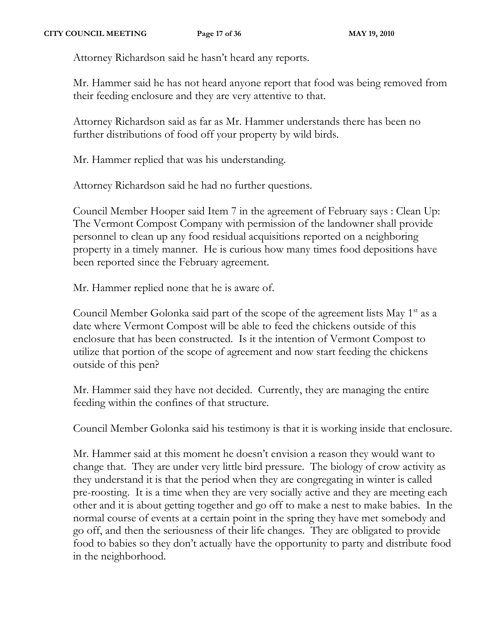Attorney Richardson said he hasn't heard any reports.

Mr. Hammer said he has not heard anyone report that food was being removed from their feeding enclosure and they are very attentive to that.

Attorney Richardson said as far as Mr. Hammer understands there has been no further distributions of food off your property by wild birds.

Mr. Hammer replied that was his understanding.

Attorney Richardson said he had no further questions.

Council Member Hooper said Item 7 in the agreement of February says : Clean Up: The Vermont Compost Company with permission of the landowner shall provide personnel to clean up any food residual acquisitions reported on a neighboring property in a timely manner. He is curious how many times food depositions have been reported since the February agreement.

Mr. Hammer replied none that he is aware of.

Council Member Golonka said part of the scope of the agreement lists May  $1<sup>st</sup>$  as a date where Vermont Compost will be able to feed the chickens outside of this enclosure that has been constructed. Is it the intention of Vermont Compost to utilize that portion of the scope of agreement and now start feeding the chickens outside of this pen?

Mr. Hammer said they have not decided. Currently, they are managing the entire feeding within the confines of that structure.

Council Member Golonka said his testimony is that it is working inside that enclosure.

Mr. Hammer said at this moment he doesn't envision a reason they would want to change that. They are under very little bird pressure. The biology of crow activity as they understand it is that the period when they are congregating in winter is called pre-roosting. It is a time when they are very socially active and they are meeting each other and it is about getting together and go off to make a nest to make babies. In the normal course of events at a certain point in the spring they have met somebody and go off, and then the seriousness of their life changes. They are obligated to provide food to babies so they don't actually have the opportunity to party and distribute food in the neighborhood.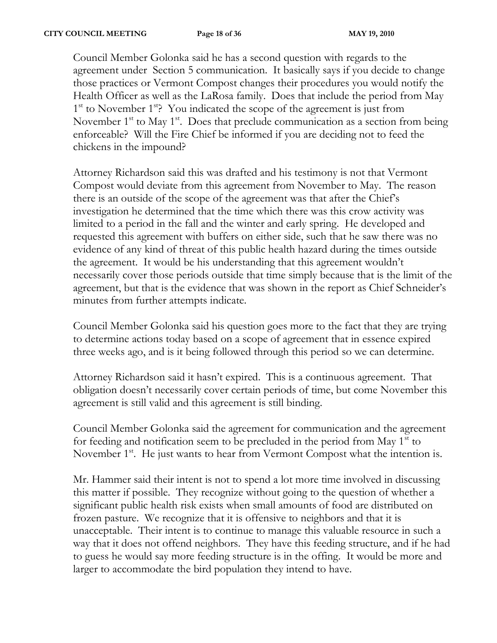Council Member Golonka said he has a second question with regards to the agreement under Section 5 communication. It basically says if you decide to change those practices or Vermont Compost changes their procedures you would notify the Health Officer as well as the LaRosa family. Does that include the period from May 1<sup>st</sup> to November 1<sup>st</sup>? You indicated the scope of the agreement is just from November  $1<sup>st</sup>$  to May  $1<sup>st</sup>$ . Does that preclude communication as a section from being enforceable? Will the Fire Chief be informed if you are deciding not to feed the chickens in the impound?

Attorney Richardson said this was drafted and his testimony is not that Vermont Compost would deviate from this agreement from November to May. The reason there is an outside of the scope of the agreement was that after the Chief's investigation he determined that the time which there was this crow activity was limited to a period in the fall and the winter and early spring. He developed and requested this agreement with buffers on either side, such that he saw there was no evidence of any kind of threat of this public health hazard during the times outside the agreement. It would be his understanding that this agreement wouldn't necessarily cover those periods outside that time simply because that is the limit of the agreement, but that is the evidence that was shown in the report as Chief Schneider's minutes from further attempts indicate.

Council Member Golonka said his question goes more to the fact that they are trying to determine actions today based on a scope of agreement that in essence expired three weeks ago, and is it being followed through this period so we can determine.

Attorney Richardson said it hasn't expired. This is a continuous agreement. That obligation doesn't necessarily cover certain periods of time, but come November this agreement is still valid and this agreement is still binding.

Council Member Golonka said the agreement for communication and the agreement for feeding and notification seem to be precluded in the period from May  $1<sup>st</sup>$  to November 1<sup>st</sup>. He just wants to hear from Vermont Compost what the intention is.

Mr. Hammer said their intent is not to spend a lot more time involved in discussing this matter if possible. They recognize without going to the question of whether a significant public health risk exists when small amounts of food are distributed on frozen pasture. We recognize that it is offensive to neighbors and that it is unacceptable. Their intent is to continue to manage this valuable resource in such a way that it does not offend neighbors. They have this feeding structure, and if he had to guess he would say more feeding structure is in the offing. It would be more and larger to accommodate the bird population they intend to have.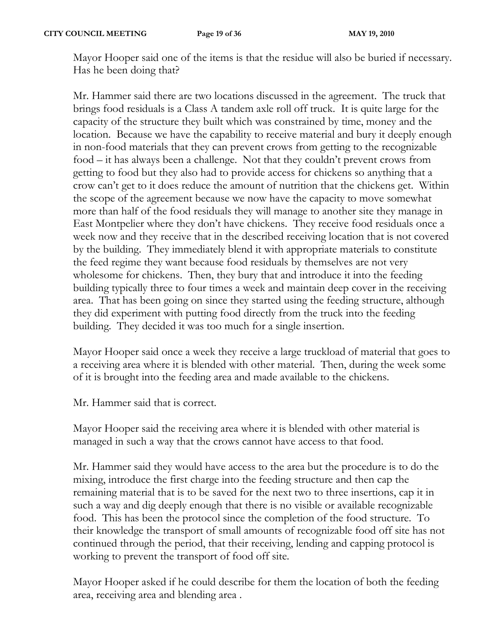Mayor Hooper said one of the items is that the residue will also be buried if necessary. Has he been doing that?

Mr. Hammer said there are two locations discussed in the agreement. The truck that brings food residuals is a Class A tandem axle roll off truck. It is quite large for the capacity of the structure they built which was constrained by time, money and the location. Because we have the capability to receive material and bury it deeply enough in non-food materials that they can prevent crows from getting to the recognizable food – it has always been a challenge. Not that they couldn't prevent crows from getting to food but they also had to provide access for chickens so anything that a crow can't get to it does reduce the amount of nutrition that the chickens get. Within the scope of the agreement because we now have the capacity to move somewhat more than half of the food residuals they will manage to another site they manage in East Montpelier where they don't have chickens. They receive food residuals once a week now and they receive that in the described receiving location that is not covered by the building. They immediately blend it with appropriate materials to constitute the feed regime they want because food residuals by themselves are not very wholesome for chickens. Then, they bury that and introduce it into the feeding building typically three to four times a week and maintain deep cover in the receiving area. That has been going on since they started using the feeding structure, although they did experiment with putting food directly from the truck into the feeding building. They decided it was too much for a single insertion.

Mayor Hooper said once a week they receive a large truckload of material that goes to a receiving area where it is blended with other material. Then, during the week some of it is brought into the feeding area and made available to the chickens.

Mr. Hammer said that is correct.

Mayor Hooper said the receiving area where it is blended with other material is managed in such a way that the crows cannot have access to that food.

Mr. Hammer said they would have access to the area but the procedure is to do the mixing, introduce the first charge into the feeding structure and then cap the remaining material that is to be saved for the next two to three insertions, cap it in such a way and dig deeply enough that there is no visible or available recognizable food. This has been the protocol since the completion of the food structure. To their knowledge the transport of small amounts of recognizable food off site has not continued through the period, that their receiving, lending and capping protocol is working to prevent the transport of food off site.

Mayor Hooper asked if he could describe for them the location of both the feeding area, receiving area and blending area .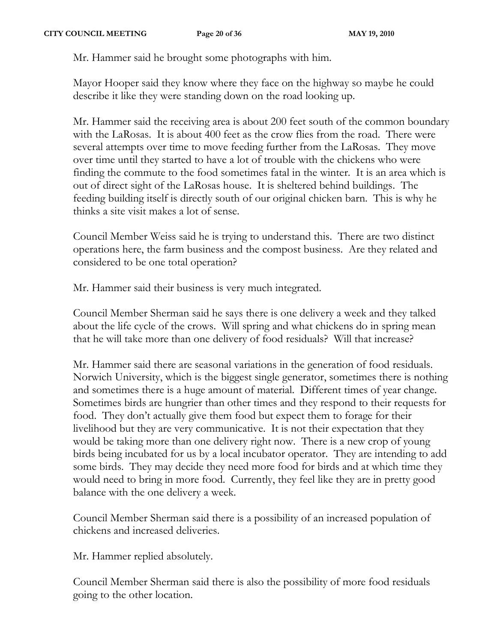Mr. Hammer said he brought some photographs with him.

Mayor Hooper said they know where they face on the highway so maybe he could describe it like they were standing down on the road looking up.

Mr. Hammer said the receiving area is about 200 feet south of the common boundary with the LaRosas. It is about 400 feet as the crow flies from the road. There were several attempts over time to move feeding further from the LaRosas. They move over time until they started to have a lot of trouble with the chickens who were finding the commute to the food sometimes fatal in the winter. It is an area which is out of direct sight of the LaRosas house. It is sheltered behind buildings. The feeding building itself is directly south of our original chicken barn. This is why he thinks a site visit makes a lot of sense.

Council Member Weiss said he is trying to understand this. There are two distinct operations here, the farm business and the compost business. Are they related and considered to be one total operation?

Mr. Hammer said their business is very much integrated.

Council Member Sherman said he says there is one delivery a week and they talked about the life cycle of the crows. Will spring and what chickens do in spring mean that he will take more than one delivery of food residuals? Will that increase?

Mr. Hammer said there are seasonal variations in the generation of food residuals. Norwich University, which is the biggest single generator, sometimes there is nothing and sometimes there is a huge amount of material. Different times of year change. Sometimes birds are hungrier than other times and they respond to their requests for food. They don't actually give them food but expect them to forage for their livelihood but they are very communicative. It is not their expectation that they would be taking more than one delivery right now. There is a new crop of young birds being incubated for us by a local incubator operator. They are intending to add some birds. They may decide they need more food for birds and at which time they would need to bring in more food. Currently, they feel like they are in pretty good balance with the one delivery a week.

Council Member Sherman said there is a possibility of an increased population of chickens and increased deliveries.

Mr. Hammer replied absolutely.

Council Member Sherman said there is also the possibility of more food residuals going to the other location.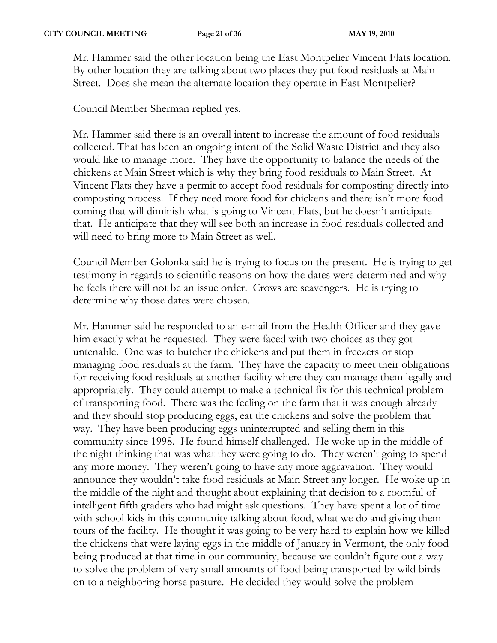Mr. Hammer said the other location being the East Montpelier Vincent Flats location. By other location they are talking about two places they put food residuals at Main Street. Does she mean the alternate location they operate in East Montpelier?

Council Member Sherman replied yes.

Mr. Hammer said there is an overall intent to increase the amount of food residuals collected. That has been an ongoing intent of the Solid Waste District and they also would like to manage more. They have the opportunity to balance the needs of the chickens at Main Street which is why they bring food residuals to Main Street. At Vincent Flats they have a permit to accept food residuals for composting directly into composting process. If they need more food for chickens and there isn't more food coming that will diminish what is going to Vincent Flats, but he doesn't anticipate that. He anticipate that they will see both an increase in food residuals collected and will need to bring more to Main Street as well.

Council Member Golonka said he is trying to focus on the present. He is trying to get testimony in regards to scientific reasons on how the dates were determined and why he feels there will not be an issue order. Crows are scavengers. He is trying to determine why those dates were chosen.

Mr. Hammer said he responded to an e-mail from the Health Officer and they gave him exactly what he requested. They were faced with two choices as they got untenable. One was to butcher the chickens and put them in freezers or stop managing food residuals at the farm. They have the capacity to meet their obligations for receiving food residuals at another facility where they can manage them legally and appropriately. They could attempt to make a technical fix for this technical problem of transporting food. There was the feeling on the farm that it was enough already and they should stop producing eggs, eat the chickens and solve the problem that way. They have been producing eggs uninterrupted and selling them in this community since 1998. He found himself challenged. He woke up in the middle of the night thinking that was what they were going to do. They weren't going to spend any more money. They weren't going to have any more aggravation. They would announce they wouldn't take food residuals at Main Street any longer. He woke up in the middle of the night and thought about explaining that decision to a roomful of intelligent fifth graders who had might ask questions. They have spent a lot of time with school kids in this community talking about food, what we do and giving them tours of the facility. He thought it was going to be very hard to explain how we killed the chickens that were laying eggs in the middle of January in Vermont, the only food being produced at that time in our community, because we couldn't figure out a way to solve the problem of very small amounts of food being transported by wild birds on to a neighboring horse pasture. He decided they would solve the problem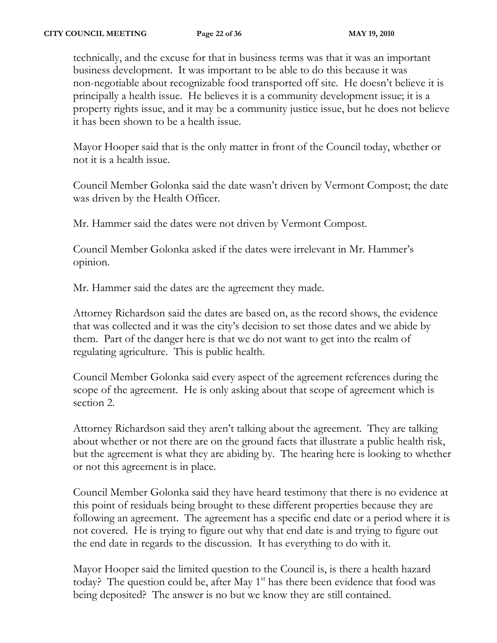technically, and the excuse for that in business terms was that it was an important business development. It was important to be able to do this because it was non-negotiable about recognizable food transported off site. He doesn't believe it is principally a health issue. He believes it is a community development issue; it is a property rights issue, and it may be a community justice issue, but he does not believe it has been shown to be a health issue.

Mayor Hooper said that is the only matter in front of the Council today, whether or not it is a health issue.

Council Member Golonka said the date wasn't driven by Vermont Compost; the date was driven by the Health Officer.

Mr. Hammer said the dates were not driven by Vermont Compost.

Council Member Golonka asked if the dates were irrelevant in Mr. Hammer's opinion.

Mr. Hammer said the dates are the agreement they made.

Attorney Richardson said the dates are based on, as the record shows, the evidence that was collected and it was the city's decision to set those dates and we abide by them. Part of the danger here is that we do not want to get into the realm of regulating agriculture. This is public health.

Council Member Golonka said every aspect of the agreement references during the scope of the agreement. He is only asking about that scope of agreement which is section 2.

Attorney Richardson said they aren't talking about the agreement. They are talking about whether or not there are on the ground facts that illustrate a public health risk, but the agreement is what they are abiding by. The hearing here is looking to whether or not this agreement is in place.

Council Member Golonka said they have heard testimony that there is no evidence at this point of residuals being brought to these different properties because they are following an agreement. The agreement has a specific end date or a period where it is not covered. He is trying to figure out why that end date is and trying to figure out the end date in regards to the discussion. It has everything to do with it.

Mayor Hooper said the limited question to the Council is, is there a health hazard today? The question could be, after May  $1<sup>st</sup>$  has there been evidence that food was being deposited? The answer is no but we know they are still contained.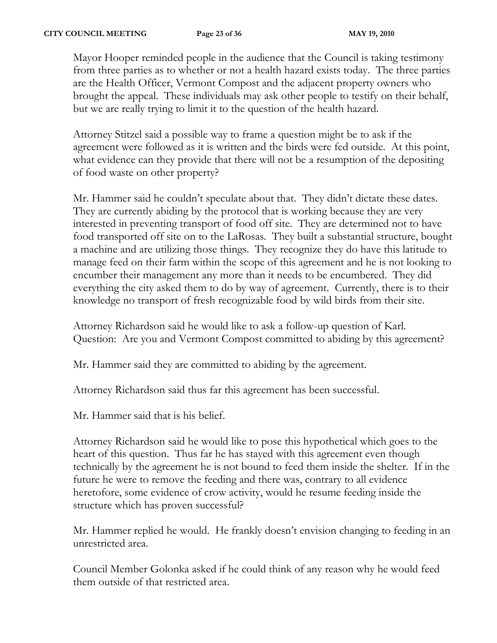Mayor Hooper reminded people in the audience that the Council is taking testimony from three parties as to whether or not a health hazard exists today. The three parties are the Health Officer, Vermont Compost and the adjacent property owners who brought the appeal. These individuals may ask other people to testify on their behalf, but we are really trying to limit it to the question of the health hazard.

Attorney Stitzel said a possible way to frame a question might be to ask if the agreement were followed as it is written and the birds were fed outside. At this point, what evidence can they provide that there will not be a resumption of the depositing of food waste on other property?

Mr. Hammer said he couldn't speculate about that. They didn't dictate these dates. They are currently abiding by the protocol that is working because they are very interested in preventing transport of food off site. They are determined not to have food transported off site on to the LaRosas. They built a substantial structure, bought a machine and are utilizing those things. They recognize they do have this latitude to manage feed on their farm within the scope of this agreement and he is not looking to encumber their management any more than it needs to be encumbered. They did everything the city asked them to do by way of agreement. Currently, there is to their knowledge no transport of fresh recognizable food by wild birds from their site.

Attorney Richardson said he would like to ask a follow-up question of Karl. Question: Are you and Vermont Compost committed to abiding by this agreement?

Mr. Hammer said they are committed to abiding by the agreement.

Attorney Richardson said thus far this agreement has been successful.

Mr. Hammer said that is his belief.

Attorney Richardson said he would like to pose this hypothetical which goes to the heart of this question. Thus far he has stayed with this agreement even though technically by the agreement he is not bound to feed them inside the shelter. If in the future he were to remove the feeding and there was, contrary to all evidence heretofore, some evidence of crow activity, would he resume feeding inside the structure which has proven successful?

Mr. Hammer replied he would. He frankly doesn't envision changing to feeding in an unrestricted area.

Council Member Golonka asked if he could think of any reason why he would feed them outside of that restricted area.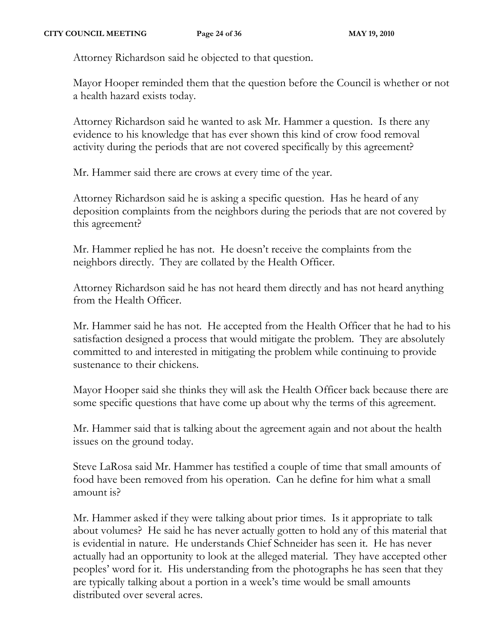Attorney Richardson said he objected to that question.

Mayor Hooper reminded them that the question before the Council is whether or not a health hazard exists today.

Attorney Richardson said he wanted to ask Mr. Hammer a question. Is there any evidence to his knowledge that has ever shown this kind of crow food removal activity during the periods that are not covered specifically by this agreement?

Mr. Hammer said there are crows at every time of the year.

Attorney Richardson said he is asking a specific question. Has he heard of any deposition complaints from the neighbors during the periods that are not covered by this agreement?

Mr. Hammer replied he has not. He doesn't receive the complaints from the neighbors directly. They are collated by the Health Officer.

Attorney Richardson said he has not heard them directly and has not heard anything from the Health Officer.

Mr. Hammer said he has not. He accepted from the Health Officer that he had to his satisfaction designed a process that would mitigate the problem. They are absolutely committed to and interested in mitigating the problem while continuing to provide sustenance to their chickens.

Mayor Hooper said she thinks they will ask the Health Officer back because there are some specific questions that have come up about why the terms of this agreement.

Mr. Hammer said that is talking about the agreement again and not about the health issues on the ground today.

Steve LaRosa said Mr. Hammer has testified a couple of time that small amounts of food have been removed from his operation. Can he define for him what a small amount is?

Mr. Hammer asked if they were talking about prior times. Is it appropriate to talk about volumes? He said he has never actually gotten to hold any of this material that is evidential in nature. He understands Chief Schneider has seen it. He has never actually had an opportunity to look at the alleged material. They have accepted other peoples' word for it. His understanding from the photographs he has seen that they are typically talking about a portion in a week's time would be small amounts distributed over several acres.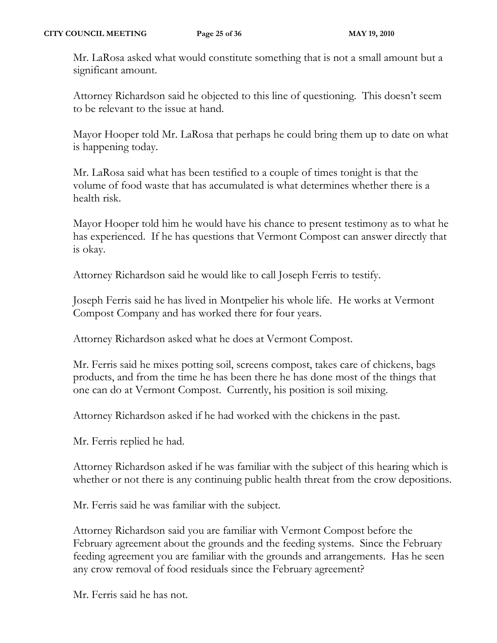Mr. LaRosa asked what would constitute something that is not a small amount but a significant amount.

Attorney Richardson said he objected to this line of questioning. This doesn't seem to be relevant to the issue at hand.

Mayor Hooper told Mr. LaRosa that perhaps he could bring them up to date on what is happening today.

Mr. LaRosa said what has been testified to a couple of times tonight is that the volume of food waste that has accumulated is what determines whether there is a health risk.

Mayor Hooper told him he would have his chance to present testimony as to what he has experienced. If he has questions that Vermont Compost can answer directly that is okay.

Attorney Richardson said he would like to call Joseph Ferris to testify.

Joseph Ferris said he has lived in Montpelier his whole life. He works at Vermont Compost Company and has worked there for four years.

Attorney Richardson asked what he does at Vermont Compost.

Mr. Ferris said he mixes potting soil, screens compost, takes care of chickens, bags products, and from the time he has been there he has done most of the things that one can do at Vermont Compost. Currently, his position is soil mixing.

Attorney Richardson asked if he had worked with the chickens in the past.

Mr. Ferris replied he had.

Attorney Richardson asked if he was familiar with the subject of this hearing which is whether or not there is any continuing public health threat from the crow depositions.

Mr. Ferris said he was familiar with the subject.

Attorney Richardson said you are familiar with Vermont Compost before the February agreement about the grounds and the feeding systems. Since the February feeding agreement you are familiar with the grounds and arrangements. Has he seen any crow removal of food residuals since the February agreement?

Mr. Ferris said he has not.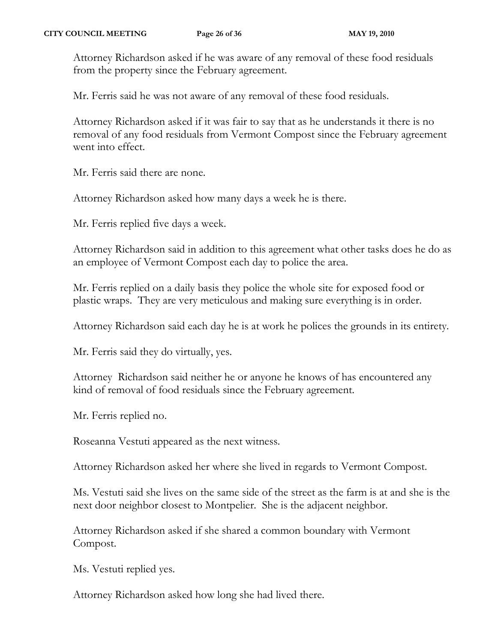Attorney Richardson asked if he was aware of any removal of these food residuals from the property since the February agreement.

Mr. Ferris said he was not aware of any removal of these food residuals.

Attorney Richardson asked if it was fair to say that as he understands it there is no removal of any food residuals from Vermont Compost since the February agreement went into effect.

Mr. Ferris said there are none.

Attorney Richardson asked how many days a week he is there.

Mr. Ferris replied five days a week.

Attorney Richardson said in addition to this agreement what other tasks does he do as an employee of Vermont Compost each day to police the area.

Mr. Ferris replied on a daily basis they police the whole site for exposed food or plastic wraps. They are very meticulous and making sure everything is in order.

Attorney Richardson said each day he is at work he polices the grounds in its entirety.

Mr. Ferris said they do virtually, yes.

Attorney Richardson said neither he or anyone he knows of has encountered any kind of removal of food residuals since the February agreement.

Mr. Ferris replied no.

Roseanna Vestuti appeared as the next witness.

Attorney Richardson asked her where she lived in regards to Vermont Compost.

Ms. Vestuti said she lives on the same side of the street as the farm is at and she is the next door neighbor closest to Montpelier. She is the adjacent neighbor.

Attorney Richardson asked if she shared a common boundary with Vermont Compost.

Ms. Vestuti replied yes.

Attorney Richardson asked how long she had lived there.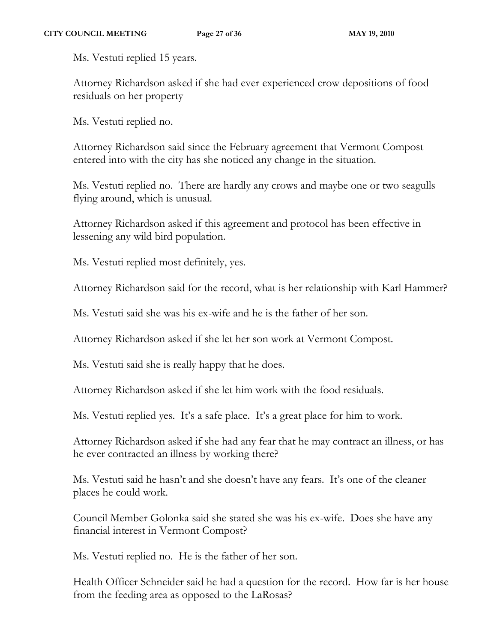Ms. Vestuti replied 15 years.

Attorney Richardson asked if she had ever experienced crow depositions of food residuals on her property

Ms. Vestuti replied no.

Attorney Richardson said since the February agreement that Vermont Compost entered into with the city has she noticed any change in the situation.

Ms. Vestuti replied no. There are hardly any crows and maybe one or two seagulls flying around, which is unusual.

Attorney Richardson asked if this agreement and protocol has been effective in lessening any wild bird population.

Ms. Vestuti replied most definitely, yes.

Attorney Richardson said for the record, what is her relationship with Karl Hammer?

Ms. Vestuti said she was his ex-wife and he is the father of her son.

Attorney Richardson asked if she let her son work at Vermont Compost.

Ms. Vestuti said she is really happy that he does.

Attorney Richardson asked if she let him work with the food residuals.

Ms. Vestuti replied yes. It's a safe place. It's a great place for him to work.

Attorney Richardson asked if she had any fear that he may contract an illness, or has he ever contracted an illness by working there?

Ms. Vestuti said he hasn't and she doesn't have any fears. It's one of the cleaner places he could work.

Council Member Golonka said she stated she was his ex-wife. Does she have any financial interest in Vermont Compost?

Ms. Vestuti replied no. He is the father of her son.

Health Officer Schneider said he had a question for the record. How far is her house from the feeding area as opposed to the LaRosas?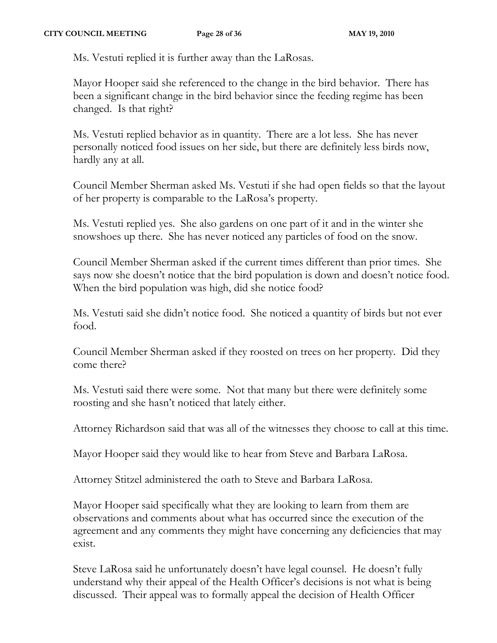Ms. Vestuti replied it is further away than the LaRosas.

Mayor Hooper said she referenced to the change in the bird behavior. There has been a significant change in the bird behavior since the feeding regime has been changed. Is that right?

Ms. Vestuti replied behavior as in quantity. There are a lot less. She has never personally noticed food issues on her side, but there are definitely less birds now, hardly any at all.

Council Member Sherman asked Ms. Vestuti if she had open fields so that the layout of her property is comparable to the LaRosa's property.

Ms. Vestuti replied yes. She also gardens on one part of it and in the winter she snowshoes up there. She has never noticed any particles of food on the snow.

Council Member Sherman asked if the current times different than prior times. She says now she doesn't notice that the bird population is down and doesn't notice food. When the bird population was high, did she notice food?

Ms. Vestuti said she didn't notice food. She noticed a quantity of birds but not ever food.

Council Member Sherman asked if they roosted on trees on her property. Did they come there?

Ms. Vestuti said there were some. Not that many but there were definitely some roosting and she hasn't noticed that lately either.

Attorney Richardson said that was all of the witnesses they choose to call at this time.

Mayor Hooper said they would like to hear from Steve and Barbara LaRosa.

Attorney Stitzel administered the oath to Steve and Barbara LaRosa.

Mayor Hooper said specifically what they are looking to learn from them are observations and comments about what has occurred since the execution of the agreement and any comments they might have concerning any deficiencies that may exist.

Steve LaRosa said he unfortunately doesn't have legal counsel. He doesn't fully understand why their appeal of the Health Officer's decisions is not what is being discussed. Their appeal was to formally appeal the decision of Health Officer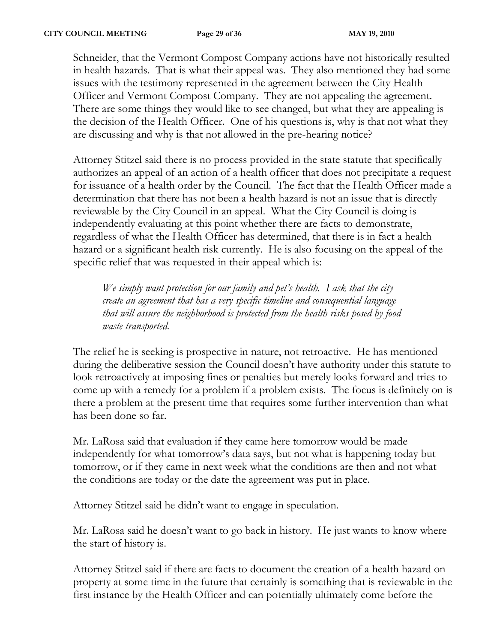Schneider, that the Vermont Compost Company actions have not historically resulted in health hazards. That is what their appeal was. They also mentioned they had some issues with the testimony represented in the agreement between the City Health Officer and Vermont Compost Company. They are not appealing the agreement. There are some things they would like to see changed, but what they are appealing is the decision of the Health Officer. One of his questions is, why is that not what they are discussing and why is that not allowed in the pre-hearing notice?

Attorney Stitzel said there is no process provided in the state statute that specifically authorizes an appeal of an action of a health officer that does not precipitate a request for issuance of a health order by the Council. The fact that the Health Officer made a determination that there has not been a health hazard is not an issue that is directly reviewable by the City Council in an appeal. What the City Council is doing is independently evaluating at this point whether there are facts to demonstrate, regardless of what the Health Officer has determined, that there is in fact a health hazard or a significant health risk currently. He is also focusing on the appeal of the specific relief that was requested in their appeal which is:

*We simply want protection for our family and pet's health. I ask that the city create an agreement that has a very specific timeline and consequential language that will assure the neighborhood is protected from the health risks posed by food waste transported.*

The relief he is seeking is prospective in nature, not retroactive. He has mentioned during the deliberative session the Council doesn't have authority under this statute to look retroactively at imposing fines or penalties but merely looks forward and tries to come up with a remedy for a problem if a problem exists. The focus is definitely on is there a problem at the present time that requires some further intervention than what has been done so far.

Mr. LaRosa said that evaluation if they came here tomorrow would be made independently for what tomorrow's data says, but not what is happening today but tomorrow, or if they came in next week what the conditions are then and not what the conditions are today or the date the agreement was put in place.

Attorney Stitzel said he didn't want to engage in speculation.

Mr. LaRosa said he doesn't want to go back in history. He just wants to know where the start of history is.

Attorney Stitzel said if there are facts to document the creation of a health hazard on property at some time in the future that certainly is something that is reviewable in the first instance by the Health Officer and can potentially ultimately come before the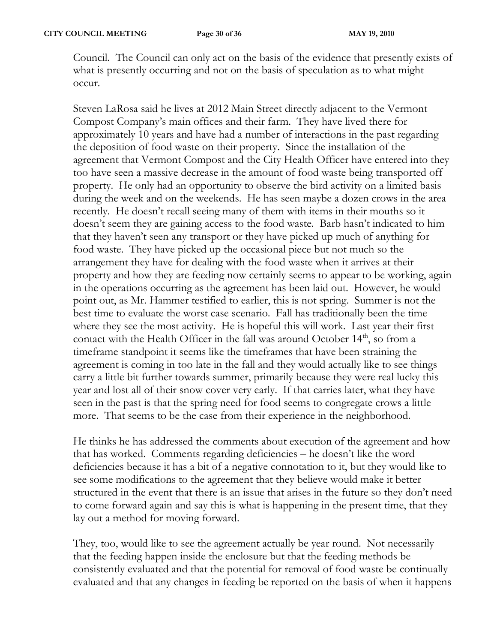Council. The Council can only act on the basis of the evidence that presently exists of what is presently occurring and not on the basis of speculation as to what might occur.

Steven LaRosa said he lives at 2012 Main Street directly adjacent to the Vermont Compost Company's main offices and their farm. They have lived there for approximately 10 years and have had a number of interactions in the past regarding the deposition of food waste on their property. Since the installation of the agreement that Vermont Compost and the City Health Officer have entered into they too have seen a massive decrease in the amount of food waste being transported off property. He only had an opportunity to observe the bird activity on a limited basis during the week and on the weekends. He has seen maybe a dozen crows in the area recently. He doesn't recall seeing many of them with items in their mouths so it doesn't seem they are gaining access to the food waste. Barb hasn't indicated to him that they haven't seen any transport or they have picked up much of anything for food waste. They have picked up the occasional piece but not much so the arrangement they have for dealing with the food waste when it arrives at their property and how they are feeding now certainly seems to appear to be working, again in the operations occurring as the agreement has been laid out. However, he would point out, as Mr. Hammer testified to earlier, this is not spring. Summer is not the best time to evaluate the worst case scenario. Fall has traditionally been the time where they see the most activity. He is hopeful this will work. Last year their first contact with the Health Officer in the fall was around October 14<sup>th</sup>, so from a timeframe standpoint it seems like the timeframes that have been straining the agreement is coming in too late in the fall and they would actually like to see things carry a little bit further towards summer, primarily because they were real lucky this year and lost all of their snow cover very early. If that carries later, what they have seen in the past is that the spring need for food seems to congregate crows a little more. That seems to be the case from their experience in the neighborhood.

He thinks he has addressed the comments about execution of the agreement and how that has worked. Comments regarding deficiencies – he doesn't like the word deficiencies because it has a bit of a negative connotation to it, but they would like to see some modifications to the agreement that they believe would make it better structured in the event that there is an issue that arises in the future so they don't need to come forward again and say this is what is happening in the present time, that they lay out a method for moving forward.

They, too, would like to see the agreement actually be year round. Not necessarily that the feeding happen inside the enclosure but that the feeding methods be consistently evaluated and that the potential for removal of food waste be continually evaluated and that any changes in feeding be reported on the basis of when it happens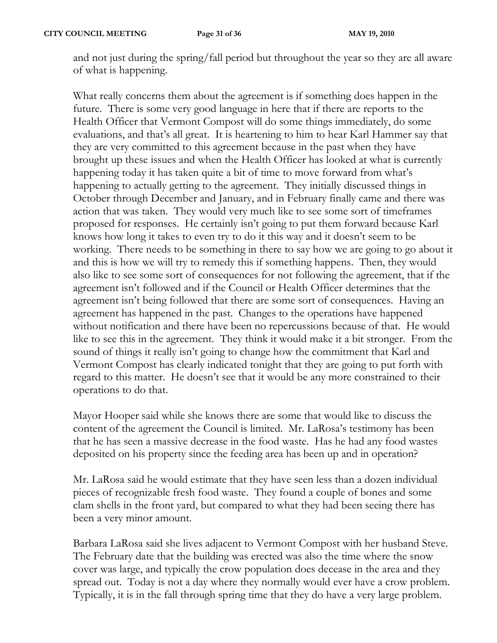and not just during the spring/fall period but throughout the year so they are all aware of what is happening.

What really concerns them about the agreement is if something does happen in the future. There is some very good language in here that if there are reports to the Health Officer that Vermont Compost will do some things immediately, do some evaluations, and that's all great. It is heartening to him to hear Karl Hammer say that they are very committed to this agreement because in the past when they have brought up these issues and when the Health Officer has looked at what is currently happening today it has taken quite a bit of time to move forward from what's happening to actually getting to the agreement. They initially discussed things in October through December and January, and in February finally came and there was action that was taken. They would very much like to see some sort of timeframes proposed for responses. He certainly isn't going to put them forward because Karl knows how long it takes to even try to do it this way and it doesn't seem to be working. There needs to be something in there to say how we are going to go about it and this is how we will try to remedy this if something happens. Then, they would also like to see some sort of consequences for not following the agreement, that if the agreement isn't followed and if the Council or Health Officer determines that the agreement isn't being followed that there are some sort of consequences. Having an agreement has happened in the past. Changes to the operations have happened without notification and there have been no repercussions because of that. He would like to see this in the agreement. They think it would make it a bit stronger. From the sound of things it really isn't going to change how the commitment that Karl and Vermont Compost has clearly indicated tonight that they are going to put forth with regard to this matter. He doesn't see that it would be any more constrained to their operations to do that.

Mayor Hooper said while she knows there are some that would like to discuss the content of the agreement the Council is limited. Mr. LaRosa's testimony has been that he has seen a massive decrease in the food waste. Has he had any food wastes deposited on his property since the feeding area has been up and in operation?

Mr. LaRosa said he would estimate that they have seen less than a dozen individual pieces of recognizable fresh food waste. They found a couple of bones and some clam shells in the front yard, but compared to what they had been seeing there has been a very minor amount.

Barbara LaRosa said she lives adjacent to Vermont Compost with her husband Steve. The February date that the building was erected was also the time where the snow cover was large, and typically the crow population does decease in the area and they spread out. Today is not a day where they normally would ever have a crow problem. Typically, it is in the fall through spring time that they do have a very large problem.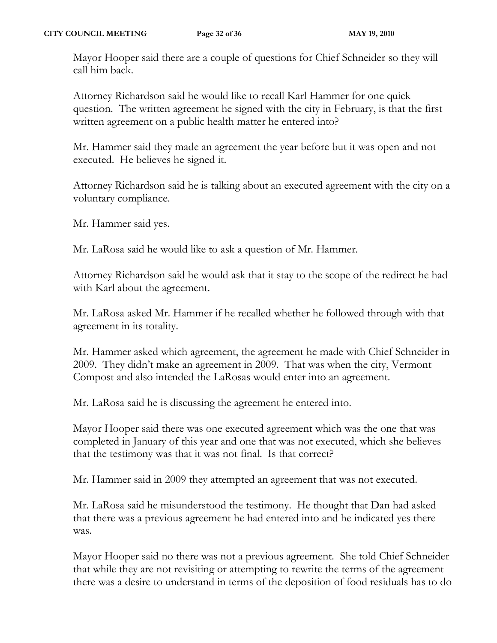Mayor Hooper said there are a couple of questions for Chief Schneider so they will call him back.

Attorney Richardson said he would like to recall Karl Hammer for one quick question. The written agreement he signed with the city in February, is that the first written agreement on a public health matter he entered into?

Mr. Hammer said they made an agreement the year before but it was open and not executed. He believes he signed it.

Attorney Richardson said he is talking about an executed agreement with the city on a voluntary compliance.

Mr. Hammer said yes.

Mr. LaRosa said he would like to ask a question of Mr. Hammer.

Attorney Richardson said he would ask that it stay to the scope of the redirect he had with Karl about the agreement.

Mr. LaRosa asked Mr. Hammer if he recalled whether he followed through with that agreement in its totality.

Mr. Hammer asked which agreement, the agreement he made with Chief Schneider in 2009. They didn't make an agreement in 2009. That was when the city, Vermont Compost and also intended the LaRosas would enter into an agreement.

Mr. LaRosa said he is discussing the agreement he entered into.

Mayor Hooper said there was one executed agreement which was the one that was completed in January of this year and one that was not executed, which she believes that the testimony was that it was not final. Is that correct?

Mr. Hammer said in 2009 they attempted an agreement that was not executed.

Mr. LaRosa said he misunderstood the testimony. He thought that Dan had asked that there was a previous agreement he had entered into and he indicated yes there was.

Mayor Hooper said no there was not a previous agreement. She told Chief Schneider that while they are not revisiting or attempting to rewrite the terms of the agreement there was a desire to understand in terms of the deposition of food residuals has to do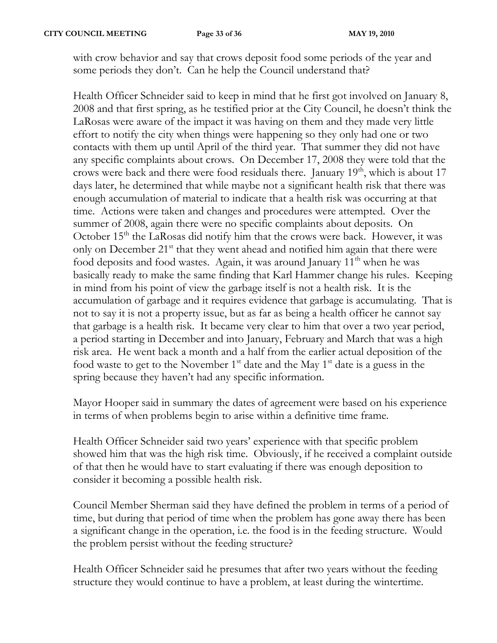with crow behavior and say that crows deposit food some periods of the year and some periods they don't. Can he help the Council understand that?

Health Officer Schneider said to keep in mind that he first got involved on January 8, 2008 and that first spring, as he testified prior at the City Council, he doesn't think the LaRosas were aware of the impact it was having on them and they made very little effort to notify the city when things were happening so they only had one or two contacts with them up until April of the third year. That summer they did not have any specific complaints about crows. On December 17, 2008 they were told that the crows were back and there were food residuals there. January  $19<sup>th</sup>$ , which is about 17 days later, he determined that while maybe not a significant health risk that there was enough accumulation of material to indicate that a health risk was occurring at that time. Actions were taken and changes and procedures were attempted. Over the summer of 2008, again there were no specific complaints about deposits. On October  $15<sup>th</sup>$  the LaRosas did notify him that the crows were back. However, it was only on December  $21^{st}$  that they went ahead and notified him again that there were food deposits and food wastes. Again, it was around January 11<sup>th</sup> when he was basically ready to make the same finding that Karl Hammer change his rules. Keeping in mind from his point of view the garbage itself is not a health risk. It is the accumulation of garbage and it requires evidence that garbage is accumulating. That is not to say it is not a property issue, but as far as being a health officer he cannot say that garbage is a health risk. It became very clear to him that over a two year period, a period starting in December and into January, February and March that was a high risk area. He went back a month and a half from the earlier actual deposition of the food waste to get to the November  $1<sup>st</sup>$  date and the May  $1<sup>st</sup>$  date is a guess in the spring because they haven't had any specific information.

Mayor Hooper said in summary the dates of agreement were based on his experience in terms of when problems begin to arise within a definitive time frame.

Health Officer Schneider said two years' experience with that specific problem showed him that was the high risk time. Obviously, if he received a complaint outside of that then he would have to start evaluating if there was enough deposition to consider it becoming a possible health risk.

Council Member Sherman said they have defined the problem in terms of a period of time, but during that period of time when the problem has gone away there has been a significant change in the operation, i.e. the food is in the feeding structure. Would the problem persist without the feeding structure?

Health Officer Schneider said he presumes that after two years without the feeding structure they would continue to have a problem, at least during the wintertime.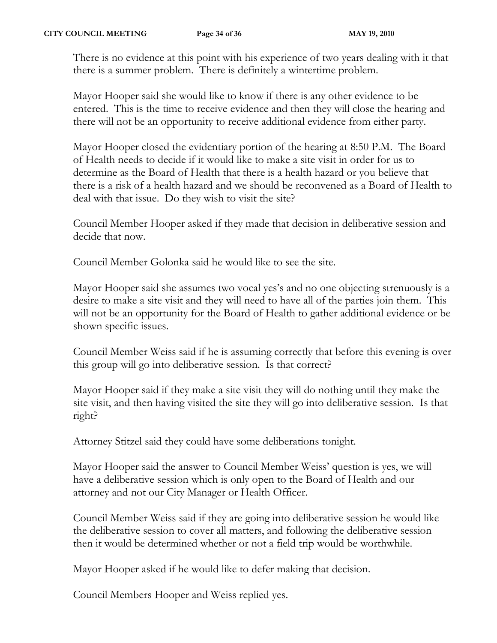There is no evidence at this point with his experience of two years dealing with it that there is a summer problem. There is definitely a wintertime problem.

Mayor Hooper said she would like to know if there is any other evidence to be entered. This is the time to receive evidence and then they will close the hearing and there will not be an opportunity to receive additional evidence from either party.

Mayor Hooper closed the evidentiary portion of the hearing at 8:50 P.M. The Board of Health needs to decide if it would like to make a site visit in order for us to determine as the Board of Health that there is a health hazard or you believe that there is a risk of a health hazard and we should be reconvened as a Board of Health to deal with that issue. Do they wish to visit the site?

Council Member Hooper asked if they made that decision in deliberative session and decide that now.

Council Member Golonka said he would like to see the site.

Mayor Hooper said she assumes two vocal yes's and no one objecting strenuously is a desire to make a site visit and they will need to have all of the parties join them. This will not be an opportunity for the Board of Health to gather additional evidence or be shown specific issues.

Council Member Weiss said if he is assuming correctly that before this evening is over this group will go into deliberative session. Is that correct?

Mayor Hooper said if they make a site visit they will do nothing until they make the site visit, and then having visited the site they will go into deliberative session. Is that right?

Attorney Stitzel said they could have some deliberations tonight.

Mayor Hooper said the answer to Council Member Weiss' question is yes, we will have a deliberative session which is only open to the Board of Health and our attorney and not our City Manager or Health Officer.

Council Member Weiss said if they are going into deliberative session he would like the deliberative session to cover all matters, and following the deliberative session then it would be determined whether or not a field trip would be worthwhile.

Mayor Hooper asked if he would like to defer making that decision.

Council Members Hooper and Weiss replied yes.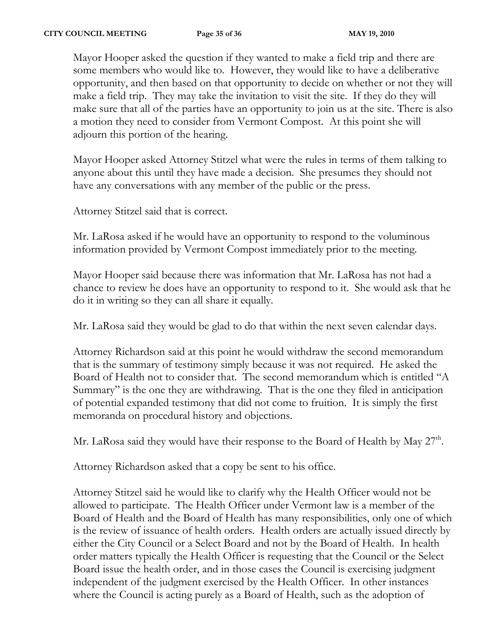Mayor Hooper asked the question if they wanted to make a field trip and there are some members who would like to. However, they would like to have a deliberative opportunity, and then based on that opportunity to decide on whether or not they will make a field trip. They may take the invitation to visit the site. If they do they will make sure that all of the parties have an opportunity to join us at the site. There is also a motion they need to consider from Vermont Compost. At this point she will adjourn this portion of the hearing.

Mayor Hooper asked Attorney Stitzel what were the rules in terms of them talking to anyone about this until they have made a decision. She presumes they should not have any conversations with any member of the public or the press.

Attorney Stitzel said that is correct.

Mr. LaRosa asked if he would have an opportunity to respond to the voluminous information provided by Vermont Compost immediately prior to the meeting.

Mayor Hooper said because there was information that Mr. LaRosa has not had a chance to review he does have an opportunity to respond to it. She would ask that he do it in writing so they can all share it equally.

Mr. LaRosa said they would be glad to do that within the next seven calendar days.

Attorney Richardson said at this point he would withdraw the second memorandum that is the summary of testimony simply because it was not required. He asked the Board of Health not to consider that. The second memorandum which is entitled "A Summary" is the one they are withdrawing. That is the one they filed in anticipation of potential expanded testimony that did not come to fruition. It is simply the first memoranda on procedural history and objections.

Mr. LaRosa said they would have their response to the Board of Health by May 27<sup>th</sup>.

Attorney Richardson asked that a copy be sent to his office.

Attorney Stitzel said he would like to clarify why the Health Officer would not be allowed to participate. The Health Officer under Vermont law is a member of the Board of Health and the Board of Health has many responsibilities, only one of which is the review of issuance of health orders. Health orders are actually issued directly by either the City Council or a Select Board and not by the Board of Health. In health order matters typically the Health Officer is requesting that the Council or the Select Board issue the health order, and in those cases the Council is exercising judgment independent of the judgment exercised by the Health Officer. In other instances where the Council is acting purely as a Board of Health, such as the adoption of